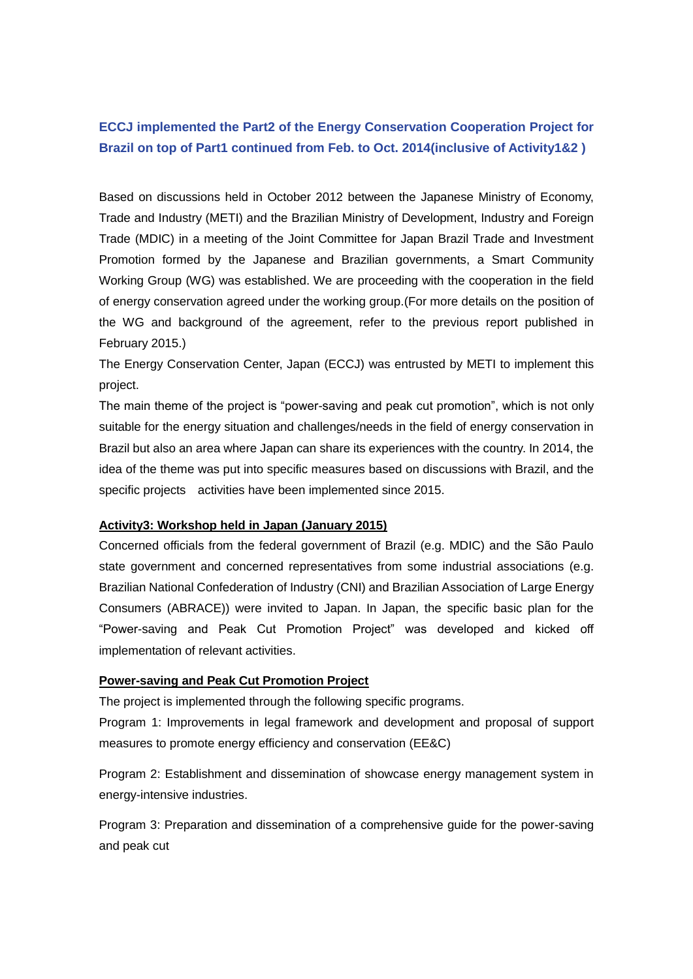# **ECCJ implemented the Part2 of the Energy Conservation Cooperation Project for Brazil on top of Part1 continued from Feb. to Oct. 2014(inclusive of Activity1&2 )**

Based on discussions held in October 2012 between the Japanese Ministry of Economy, Trade and Industry (METI) and the Brazilian Ministry of Development, Industry and Foreign Trade (MDIC) in a meeting of the Joint Committee for Japan Brazil Trade and Investment Promotion formed by the Japanese and Brazilian governments, a Smart Community Working Group (WG) was established. We are proceeding with the cooperation in the field of energy conservation agreed under the working group.(For more details on the position of the WG and background of the agreement, refer to the previous report published in February 2015.)

The Energy Conservation Center, Japan (ECCJ) was entrusted by METI to implement this project.

The main theme of the project is "power-saving and peak cut promotion", which is not only suitable for the energy situation and challenges/needs in the field of energy conservation in Brazil but also an area where Japan can share its experiences with the country. In 2014, the idea of the theme was put into specific measures based on discussions with Brazil, and the specific projects activities have been implemented since 2015.

#### **Activity3: Workshop held in Japan (January 2015)**

Concerned officials from the federal government of Brazil (e.g. MDIC) and the São Paulo state government and concerned representatives from some industrial associations (e.g. Brazilian National Confederation of Industry (CNI) and Brazilian Association of Large Energy Consumers (ABRACE)) were invited to Japan. In Japan, the specific basic plan for the "Power-saving and Peak Cut Promotion Project" was developed and kicked off implementation of relevant activities.

#### **Power-saving and Peak Cut Promotion Project**

The project is implemented through the following specific programs.

Program 1: Improvements in legal framework and development and proposal of support measures to promote energy efficiency and conservation (EE&C)

Program 2: Establishment and dissemination of showcase energy management system in energy-intensive industries.

Program 3: Preparation and dissemination of a comprehensive guide for the power-saving and peak cut